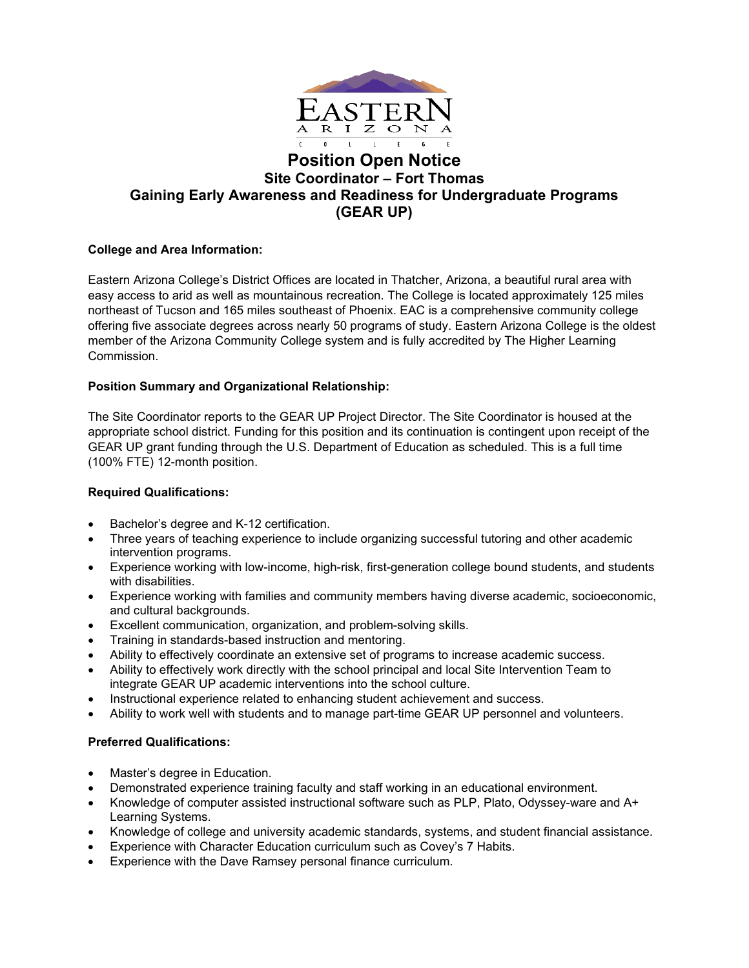

# **Position Open Notice Site Coordinator – Fort Thomas Gaining Early Awareness and Readiness for Undergraduate Programs (GEAR UP)**

## **College and Area Information:**

Eastern Arizona College's District Offices are located in Thatcher, Arizona, a beautiful rural area with easy access to arid as well as mountainous recreation. The College is located approximately 125 miles northeast of Tucson and 165 miles southeast of Phoenix. EAC is a comprehensive community college offering five associate degrees across nearly 50 programs of study. Eastern Arizona College is the oldest member of the Arizona Community College system and is fully accredited by The Higher Learning Commission.

### **Position Summary and Organizational Relationship:**

The Site Coordinator reports to the GEAR UP Project Director. The Site Coordinator is housed at the appropriate school district. Funding for this position and its continuation is contingent upon receipt of the GEAR UP grant funding through the U.S. Department of Education as scheduled. This is a full time (100% FTE) 12-month position.

### **Required Qualifications:**

- Bachelor's degree and K-12 certification.
- Three years of teaching experience to include organizing successful tutoring and other academic intervention programs.
- Experience working with low-income, high-risk, first-generation college bound students, and students with disabilities.
- Experience working with families and community members having diverse academic, socioeconomic, and cultural backgrounds.
- Excellent communication, organization, and problem-solving skills.
- Training in standards-based instruction and mentoring.
- Ability to effectively coordinate an extensive set of programs to increase academic success.
- Ability to effectively work directly with the school principal and local Site Intervention Team to integrate GEAR UP academic interventions into the school culture.
- Instructional experience related to enhancing student achievement and success.
- Ability to work well with students and to manage part-time GEAR UP personnel and volunteers.

### **Preferred Qualifications:**

- Master's degree in Education.
- Demonstrated experience training faculty and staff working in an educational environment.
- Knowledge of computer assisted instructional software such as PLP, Plato, Odyssey-ware and A+ Learning Systems.
- Knowledge of college and university academic standards, systems, and student financial assistance.
- Experience with Character Education curriculum such as Covey's 7 Habits.
- Experience with the Dave Ramsey personal finance curriculum.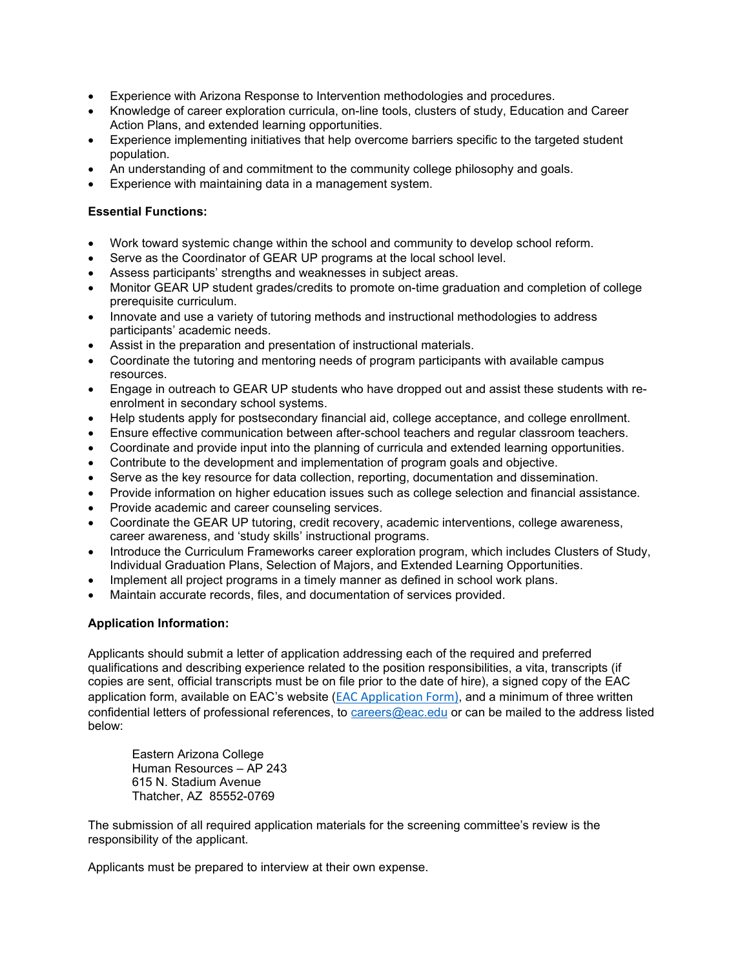- Experience with Arizona Response to Intervention methodologies and procedures.
- Knowledge of career exploration curricula, on-line tools, clusters of study, Education and Career Action Plans, and extended learning opportunities.
- Experience implementing initiatives that help overcome barriers specific to the targeted student population.
- An understanding of and commitment to the community college philosophy and goals.
- Experience with maintaining data in a management system.

#### **Essential Functions:**

- Work toward systemic change within the school and community to develop school reform.
- Serve as the Coordinator of GEAR UP programs at the local school level.
- Assess participants' strengths and weaknesses in subject areas.
- Monitor GEAR UP student grades/credits to promote on-time graduation and completion of college prerequisite curriculum.
- Innovate and use a variety of tutoring methods and instructional methodologies to address participants' academic needs.
- Assist in the preparation and presentation of instructional materials.
- Coordinate the tutoring and mentoring needs of program participants with available campus resources.
- Engage in outreach to GEAR UP students who have dropped out and assist these students with reenrolment in secondary school systems.
- Help students apply for postsecondary financial aid, college acceptance, and college enrollment.
- Ensure effective communication between after-school teachers and regular classroom teachers.
- Coordinate and provide input into the planning of curricula and extended learning opportunities.
- Contribute to the development and implementation of program goals and objective.
- Serve as the key resource for data collection, reporting, documentation and dissemination.
- Provide information on higher education issues such as college selection and financial assistance.
- Provide academic and career counseling services.
- Coordinate the GEAR UP tutoring, credit recovery, academic interventions, college awareness, career awareness, and 'study skills' instructional programs.
- Introduce the Curriculum Frameworks career exploration program, which includes Clusters of Study, Individual Graduation Plans, Selection of Majors, and Extended Learning Opportunities.
- Implement all project programs in a timely manner as defined in school work plans.
- Maintain accurate records, files, and documentation of services provided.

### **Application Information:**

Applicants should submit a letter of application addressing each of the required and preferred qualifications and describing experience related to the position responsibilities, a vita, transcripts (if copies are sent, official transcripts must be on file prior to the date of hire), a signed copy of the EAC application form, available on EAC's website ([EAC Application Form\)](https://www.eac.edu/working_at_eac/PONs/ApplicationFill.pdf), and a minimum of three written confidential letters of professional references, to [careers@eac.edu](mailto:careers@eac.edu) or can be mailed to the address listed below:

Eastern Arizona College Human Resources – AP 243 615 N. Stadium Avenue Thatcher, AZ 85552-0769

The submission of all required application materials for the screening committee's review is the responsibility of the applicant.

Applicants must be prepared to interview at their own expense.